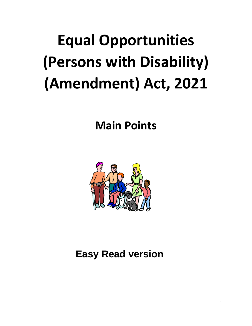# **Equal Opportunities (Persons with Disability) (Amendment) Act, 2021**

**Main Points**



## **Easy Read version**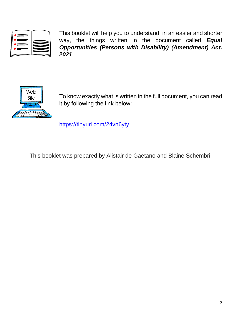| -- |  |
|----|--|
|    |  |
|    |  |

This booklet will help you to understand, in an easier and shorter way, the things written in the document called *Equal Opportunities (Persons with Disability) (Amendment) Act, 2021*.



To know exactly what is written in the full document, you can read it by following the link below:

<https://tinyurl.com/24vn6yty>

This booklet was prepared by Alistair de Gaetano and Blaine Schembri.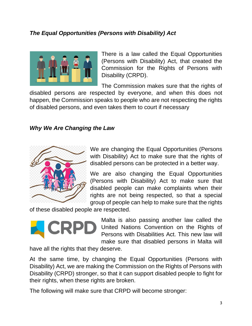### *The Equal Opportunities (Persons with Disability) Act*



There is a law called the Equal Opportunities (Persons with Disability) Act, that created the Commission for the Rights of Persons with Disability (CRPD).

The Commission makes sure that the rights of

disabled persons are respected by everyone, and when this does not happen, the Commission speaks to people who are not respecting the rights of disabled persons, and even takes them to court if necessary

#### *Why We Are Changing the Law*



We are changing the Equal Opportunities (Persons with Disability) Act to make sure that the rights of disabled persons can be protected in a better way.

We are also changing the Equal Opportunities (Persons with Disability) Act to make sure that disabled people can make complaints when their rights are not being respected, so that a special group of people can help to make sure that the rights

of these disabled people are respected.



Malta is also passing another law called the United Nations Convention on the Rights of Persons with Disabilities Act. This new law will make sure that disabled persons in Malta will

have all the rights that they deserve.

At the same time, by changing the Equal Opportunities (Persons with Disability) Act, we are making the Commission on the Rights of Persons with Disability (CRPD) stronger, so that it can support disabled people to fight for their rights, when these rights are broken.

The following will make sure that CRPD will become stronger: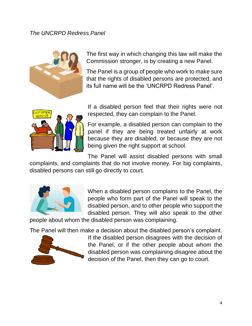#### *The UNCRPD Redress Panel*



The first way in which changing this law will make the Commission stronger, is by creating a new Panel.

The Panel is a group of people who work to make sure that the rights of disabled persons are protected, and its full name will be the 'UNCRPD Redress Panel'.



If a disabled person feel that their rights were not respected, they can complain to the Panel.

For example, a disabled person can complain to the panel if they are being treated unfairly at work because they are disabled, or because they are not being given the right support at school.

The Panel will assist disabled persons with small complaints, and complaints that do not involve money. For big complaints, disabled persons can still go directly to court.



When a disabled person complains to the Panel, the people who form part of the Panel will speak to the disabled person, and to other people who support the disabled person. They will also speak to the other

people about whom the disabled person was complaining.

The Panel will then make a decision about the disabled person's complaint.



If the disabled person disagrees with the decision of the Panel, or if the other people about whom the disabled person was complaining disagree about the decision of the Panel, then they can go to court.